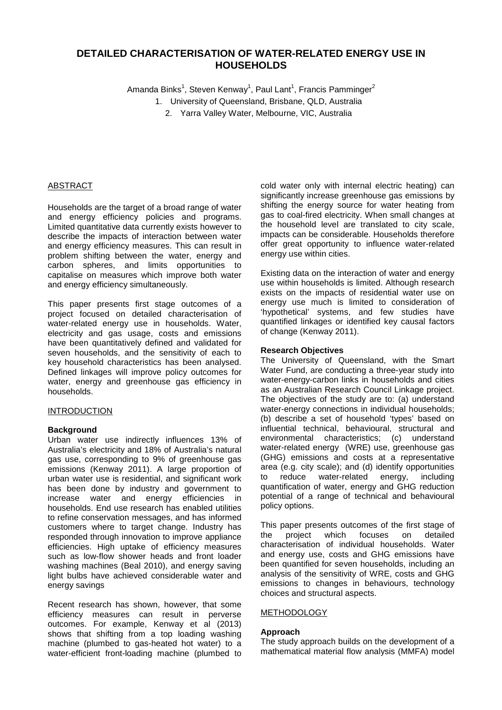# **DETAILED CHARACTERISATION OF WATER-RELATED ENERGY USE IN HOUSEHOLDS**

Amanda Binks<sup>1</sup>, Steven Kenway<sup>1</sup>, Paul Lant<sup>1</sup>, Francis Pamminger<sup>2</sup>

1. University of Queensland, Brisbane, QLD, Australia

2. Yarra Valley Water, Melbourne, VIC, Australia

# **ABSTRACT**

Households are the target of a broad range of water and energy efficiency policies and programs. Limited quantitative data currently exists however to describe the impacts of interaction between water and energy efficiency measures. This can result in problem shifting between the water, energy and carbon spheres, and limits opportunities to capitalise on measures which improve both water and energy efficiency simultaneously.

This paper presents first stage outcomes of a project focused on detailed characterisation of water-related energy use in households. Water, electricity and gas usage, costs and emissions have been quantitatively defined and validated for seven households, and the sensitivity of each to key household characteristics has been analysed. Defined linkages will improve policy outcomes for water, energy and greenhouse gas efficiency in households.

## **INTRODUCTION**

#### **Background**

Urban water use indirectly influences 13% of Australia's electricity and 18% of Australia's natural gas use, corresponding to 9% of greenhouse gas emissions (Kenway 2011). A large proportion of urban water use is residential, and significant work has been done by industry and government to increase water and energy efficiencies in households. End use research has enabled utilities to refine conservation messages, and has informed customers where to target change. Industry has responded through innovation to improve appliance efficiencies. High uptake of efficiency measures such as low-flow shower heads and front loader washing machines (Beal 2010), and energy saving light bulbs have achieved considerable water and energy savings

Recent research has shown, however, that some efficiency measures can result in perverse outcomes. For example, Kenway et al (2013) shows that shifting from a top loading washing machine (plumbed to gas-heated hot water) to a water-efficient front-loading machine (plumbed to

cold water only with internal electric heating) can significantly increase greenhouse gas emissions by shifting the energy source for water heating from gas to coal-fired electricity. When small changes at the household level are translated to city scale, impacts can be considerable. Households therefore offer great opportunity to influence water-related energy use within cities.

Existing data on the interaction of water and energy use within households is limited. Although research exists on the impacts of residential water use on energy use much is limited to consideration of 'hypothetical' systems, and few studies have quantified linkages or identified key causal factors of change (Kenway 2011).

#### **Research Objectives**

The University of Queensland, with the Smart Water Fund, are conducting a three-year study into water-energy-carbon links in households and cities as an Australian Research Council Linkage project. The objectives of the study are to: (a) understand water-energy connections in individual households; (b) describe a set of household 'types' based on influential technical, behavioural, structural and environmental characteristics; (c) understand water-related energy (WRE) use, greenhouse gas (GHG) emissions and costs at a representative area (e.g. city scale); and (d) identify opportunities to reduce water-related energy, including quantification of water, energy and GHG reduction potential of a range of technical and behavioural policy options.

This paper presents outcomes of the first stage of the project which focuses on detailed characterisation of individual households. Water and energy use, costs and GHG emissions have been quantified for seven households, including an analysis of the sensitivity of WRE, costs and GHG emissions to changes in behaviours, technology choices and structural aspects.

## **METHODOLOGY**

#### **Approach**

The study approach builds on the development of a mathematical material flow analysis (MMFA) model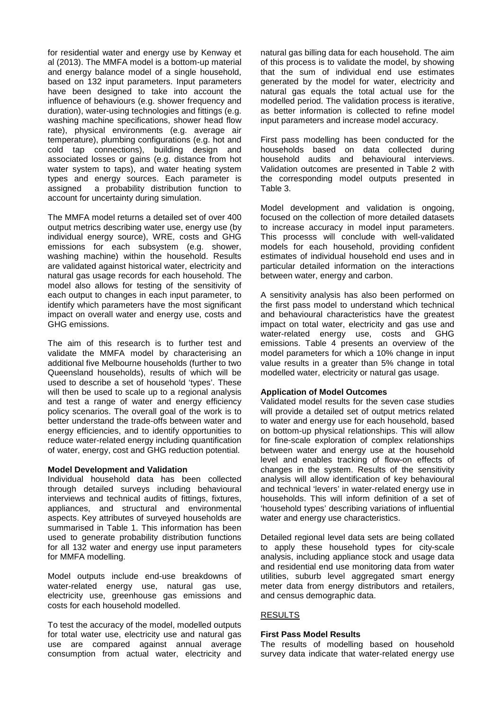for residential water and energy use by Kenway et al (2013). The MMFA model is a bottom-up material and energy balance model of a single household, based on 132 input parameters. Input parameters have been designed to take into account the influence of behaviours (e.g. shower frequency and duration), water-using technologies and fittings (e.g. washing machine specifications, shower head flow rate), physical environments (e.g. average air temperature), plumbing configurations (e.g. hot and cold tap connections), building design and associated losses or gains (e.g. distance from hot water system to taps), and water heating system types and energy sources. Each parameter is assigned a probability distribution function to account for uncertainty during simulation.

The MMFA model returns a detailed set of over 400 output metrics describing water use, energy use (by individual energy source), WRE, costs and GHG emissions for each subsystem (e.g. shower, washing machine) within the household. Results are validated against historical water, electricity and natural gas usage records for each household. The model also allows for testing of the sensitivity of each output to changes in each input parameter, to identify which parameters have the most significant impact on overall water and energy use, costs and GHG emissions.

The aim of this research is to further test and validate the MMFA model by characterising an additional five Melbourne households (further to two Queensland households), results of which will be used to describe a set of household 'types'. These will then be used to scale up to a regional analysis and test a range of water and energy efficiency policy scenarios. The overall goal of the work is to better understand the trade-offs between water and energy efficiencies, and to identify opportunities to reduce water-related energy including quantification of water, energy, cost and GHG reduction potential.

#### **Model Development and Validation**

Individual household data has been collected through detailed surveys including behavioural interviews and technical audits of fittings, fixtures, appliances, and structural and environmental aspects. Key attributes of surveyed households are summarised in Table 1. This information has been used to generate probability distribution functions for all 132 water and energy use input parameters for MMFA modelling.

Model outputs include end-use breakdowns of water-related energy use, natural gas use, electricity use, greenhouse gas emissions and costs for each household modelled.

To test the accuracy of the model, modelled outputs for total water use, electricity use and natural gas use are compared against annual average consumption from actual water, electricity and natural gas billing data for each household. The aim of this process is to validate the model, by showing that the sum of individual end use estimates generated by the model for water, electricity and natural gas equals the total actual use for the modelled period. The validation process is iterative, as better information is collected to refine model input parameters and increase model accuracy.

First pass modelling has been conducted for the households based on data collected during household audits and behavioural interviews. Validation outcomes are presented in Table 2 with the corresponding model outputs presented in Table 3.

Model development and validation is ongoing, focused on the collection of more detailed datasets to increase accuracy in model input parameters. This processs will conclude with well-validated models for each household, providing confident estimates of individual household end uses and in particular detailed information on the interactions between water, energy and carbon.

A sensitivity analysis has also been performed on the first pass model to understand which technical and behavioural characteristics have the greatest impact on total water, electricity and gas use and water-related energy use, costs and GHG emissions. Table 4 presents an overview of the model parameters for which a 10% change in input value results in a greater than 5% change in total modelled water, electricity or natural gas usage.

#### **Application of Model Outcomes**

Validated model results for the seven case studies will provide a detailed set of output metrics related to water and energy use for each household, based on bottom-up physical relationships. This will allow for fine-scale exploration of complex relationships between water and energy use at the household level and enables tracking of flow-on effects of changes in the system. Results of the sensitivity analysis will allow identification of key behavioural and technical 'levers' in water-related energy use in households. This will inform definition of a set of 'household types' describing variations of influential water and energy use characteristics.

Detailed regional level data sets are being collated to apply these household types for city-scale analysis, including appliance stock and usage data and residential end use monitoring data from water utilities, suburb level aggregated smart energy meter data from energy distributors and retailers, and census demographic data.

# **RESULTS**

#### **First Pass Model Results**

The results of modelling based on household survey data indicate that water-related energy use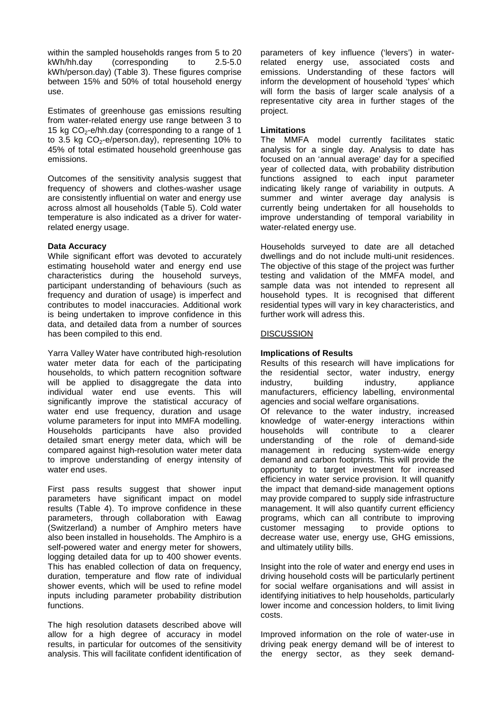within the sampled households ranges from 5 to 20 kWh/hh.day (corresponding to 2.5-5.0 kWh/person.day) (Table 3). These figures comprise between 15% and 50% of total household energy use.

Estimates of greenhouse gas emissions resulting from water-related energy use range between 3 to 15 kg  $CO<sub>2</sub>$ -e/hh.day (corresponding to a range of 1 to 3.5 kg  $CO<sub>2</sub>$ -e/person.day), representing 10% to 45% of total estimated household greenhouse gas emissions.

Outcomes of the sensitivity analysis suggest that frequency of showers and clothes-washer usage are consistently influential on water and energy use across almost all households (Table 5). Cold water temperature is also indicated as a driver for waterrelated energy usage.

## **Data Accuracy**

While significant effort was devoted to accurately estimating household water and energy end use characteristics during the household surveys, participant understanding of behaviours (such as frequency and duration of usage) is imperfect and contributes to model inaccuracies. Additional work is being undertaken to improve confidence in this data, and detailed data from a number of sources has been compiled to this end.

Yarra Valley Water have contributed high-resolution water meter data for each of the participating households, to which pattern recognition software will be applied to disaggregate the data into individual water end use events. This will significantly improve the statistical accuracy of water end use frequency, duration and usage volume parameters for input into MMFA modelling. Households participants have also provided detailed smart energy meter data, which will be compared against high-resolution water meter data to improve understanding of energy intensity of water end uses.

First pass results suggest that shower input parameters have significant impact on model results (Table 4). To improve confidence in these parameters, through collaboration with Eawag (Switzerland) a number of Amphiro meters have also been installed in households. The Amphiro is a self-powered water and energy meter for showers, logging detailed data for up to 400 shower events. This has enabled collection of data on frequency, duration, temperature and flow rate of individual shower events, which will be used to refine model inputs including parameter probability distribution functions.

The high resolution datasets described above will allow for a high degree of accuracy in model results, in particular for outcomes of the sensitivity analysis. This will facilitate confident identification of parameters of key influence ('levers') in waterrelated energy use, associated costs and emissions. Understanding of these factors will inform the development of household 'types' which will form the basis of larger scale analysis of a representative city area in further stages of the project.

## **Limitations**

The MMFA model currently facilitates static analysis for a single day. Analysis to date has focused on an 'annual average' day for a specified year of collected data, with probability distribution functions assigned to each input parameter indicating likely range of variability in outputs. A summer and winter average day analysis is currently being undertaken for all households to improve understanding of temporal variability in water-related energy use.

Households surveyed to date are all detached dwellings and do not include multi-unit residences. The objective of this stage of the project was further testing and validation of the MMFA model, and sample data was not intended to represent all household types. It is recognised that different residential types will vary in key characteristics, and further work will adress this.

## DISCUSSION

## **Implications of Results**

Results of this research will have implications for the residential sector, water industry, energy industry, building industry, appliance manufacturers, efficiency labelling, environmental agencies and social welfare organisations. Of relevance to the water industry, increased knowledge of water-energy interactions within households will contribute to a clearer understanding of the role of demand-side management in reducing system-wide energy demand and carbon footprints. This will provide the opportunity to target investment for increased efficiency in water service provision. It will quanitfy the impact that demand-side management options may provide compared to supply side infrastructure management. It will also quantify current efficiency programs, which can all contribute to improving customer messaging to provide options to decrease water use, energy use, GHG emissions, and ultimately utility bills.

Insight into the role of water and energy end uses in driving household costs will be particularly pertinent for social welfare organisations and will assist in identifying initiatives to help households, particularly lower income and concession holders, to limit living costs.

Improved information on the role of water-use in driving peak energy demand will be of interest to the energy sector, as they seek demand-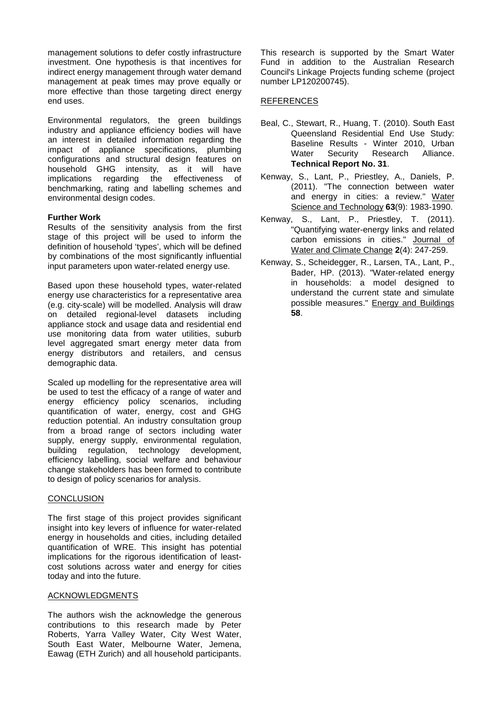management solutions to defer costly infrastructure investment. One hypothesis is that incentives for indirect energy management through water demand management at peak times may prove equally or more effective than those targeting direct energy end uses.

Environmental regulators, the green buildings industry and appliance efficiency bodies will have an interest in detailed information regarding the impact of appliance specifications, plumbing configurations and structural design features on household GHG intensity, as it will have implications regarding the effectiveness of benchmarking, rating and labelling schemes and environmental design codes.

## **Further Work**

Results of the sensitivity analysis from the first stage of this project will be used to inform the definition of household 'types', which will be defined by combinations of the most significantly influential input parameters upon water-related energy use.

Based upon these household types, water-related energy use characteristics for a representative area (e.g. city-scale) will be modelled. Analysis will draw on detailed regional-level datasets including appliance stock and usage data and residential end use monitoring data from water utilities, suburb level aggregated smart energy meter data from energy distributors and retailers, and census demographic data.

Scaled up modelling for the representative area will be used to test the efficacy of a range of water and energy efficiency policy scenarios, including quantification of water, energy, cost and GHG reduction potential. An industry consultation group from a broad range of sectors including water supply, energy supply, environmental regulation, building regulation, technology development, efficiency labelling, social welfare and behaviour change stakeholders has been formed to contribute to design of policy scenarios for analysis.

#### **CONCLUSION**

The first stage of this project provides significant insight into key levers of influence for water-related energy in households and cities, including detailed quantification of WRE. This insight has potential implications for the rigorous identification of leastcost solutions across water and energy for cities today and into the future.

#### ACKNOWLEDGMENTS

The authors wish the acknowledge the generous contributions to this research made by Peter Roberts, Yarra Valley Water, City West Water, South East Water, Melbourne Water, Jemena, Eawag (ETH Zurich) and all household participants. This research is supported by the Smart Water Fund in addition to the Australian Research Council's Linkage Projects funding scheme (project number LP120200745).

# REFERENCES

- Beal, C., Stewart, R., Huang, T. (2010). South East Queensland Residential End Use Study: Baseline Results - Winter 2010, Urban Water Security Research Alliance. **Technical Report No. 31**.
- Kenway, S., Lant, P., Priestley, A., Daniels, P. (2011). "The connection between water and energy in cities: a review." Water Science and Technology **63**(9): 1983-1990.
- Kenway, S., Lant, P., Priestley, T. (2011). "Quantifying water-energy links and related carbon emissions in cities." Journal of Water and Climate Change **2**(4): 247-259.
- Kenway, S., Scheidegger, R., Larsen, TA., Lant, P., Bader, HP. (2013). "Water-related energy in households: a model designed to understand the current state and simulate possible measures." Energy and Buildings **58**.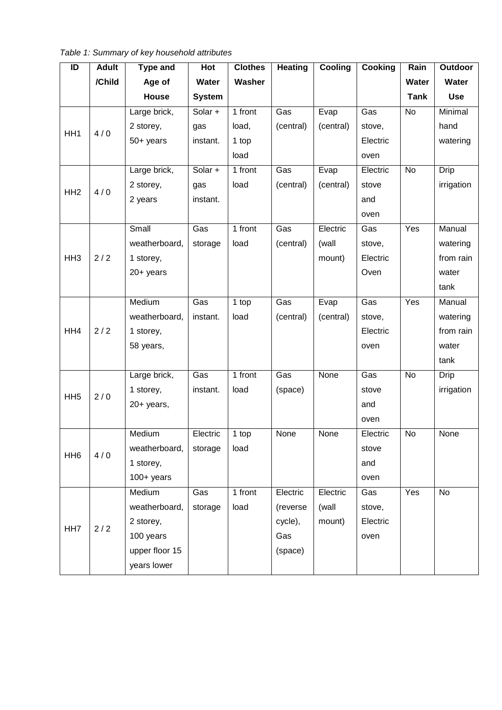Table 1: Summary of key household attributes

| ID              | <b>Adult</b> | <b>Type and</b> | Hot                         | <b>Clothes</b> | <b>Heating</b> | Cooling   | Cooking  | Rain              | <b>Outdoor</b> |
|-----------------|--------------|-----------------|-----------------------------|----------------|----------------|-----------|----------|-------------------|----------------|
|                 | /Child       | Age of          | Water                       | Washer         |                |           |          | Water             | Water          |
|                 |              | House           | <b>System</b>               |                |                |           |          | <b>Tank</b>       | <b>Use</b>     |
|                 |              | Large brick,    | Solar +                     | 1 front        | Gas            | Evap      | Gas      | No                | Minimal        |
| HH <sub>1</sub> | 4/0          | 2 storey,       | gas                         | load,          | (central)      | (central) | stove,   |                   | hand           |
|                 |              | 50+ years       | instant.                    | 1 top          |                |           | Electric |                   | watering       |
|                 |              |                 |                             | load           |                |           | oven     |                   |                |
|                 |              | Large brick,    | $\overline{\text{Solar}}$ + | 1 front        | Gas            | Evap      | Electric | No                | <b>Drip</b>    |
| HH <sub>2</sub> | 4/0          | 2 storey,       | gas                         | load           | (central)      | (central) | stove    |                   | irrigation     |
|                 |              | 2 years         | instant.                    |                |                |           | and      |                   |                |
|                 |              |                 |                             |                |                |           | oven     |                   |                |
|                 |              | Small           | Gas                         | 1 front        | Gas            | Electric  | Gas      | Yes               | Manual         |
|                 |              | weatherboard,   | storage                     | load           | (central)      | (wall     | stove,   |                   | watering       |
| HH <sub>3</sub> | 2/2          | 1 storey,       |                             |                |                | mount)    | Electric |                   | from rain      |
|                 |              | $20+$ years     |                             |                |                |           | Oven     |                   | water          |
|                 |              |                 |                             |                |                |           |          |                   | tank           |
|                 |              | Medium          | Gas                         | 1 top          | Gas            | Evap      | Gas      | Yes               | Manual         |
|                 |              | weatherboard,   | instant.                    | load           | (central)      | (central) | stove,   |                   | watering       |
| HH4             | 2/2          | 1 storey,       |                             |                |                |           | Electric |                   | from rain      |
|                 |              | 58 years,       |                             |                |                |           | oven     |                   | water          |
|                 |              |                 |                             |                |                |           |          |                   | tank           |
|                 |              | Large brick,    | Gas                         | 1 front        | Gas            | None      | Gas      | N <sub>o</sub>    | Drip           |
| HH <sub>5</sub> | 2/0          | 1 storey,       | instant.                    | load           | (space)        |           | stove    |                   | irrigation     |
|                 |              | 20+ years,      |                             |                |                |           | and      |                   |                |
|                 |              |                 |                             |                |                |           | oven     |                   |                |
|                 |              | Medium          | Electric                    | 1 top          | None           | None      | Electric | No                | None           |
| HH <sub>6</sub> | 4/0          | weatherboard,   | storage                     | load           |                |           | stove    |                   |                |
|                 |              | 1 storey,       |                             |                |                |           | and      |                   |                |
|                 |              | $100+$ years    |                             |                |                |           | oven     |                   |                |
|                 | 2/2          | Medium          | Gas                         | 1 front        | Electric       | Electric  | Gas      | $\overline{Y}$ es | No             |
|                 |              | weatherboard,   | storage                     | load           | (reverse       | (wall     | stove,   |                   |                |
| HH <sub>7</sub> |              | 2 storey,       |                             |                | cycle),        | mount)    | Electric |                   |                |
|                 |              | 100 years       |                             |                | Gas            |           | oven     |                   |                |
|                 |              | upper floor 15  |                             |                | (space)        |           |          |                   |                |
|                 |              | years lower     |                             |                |                |           |          |                   |                |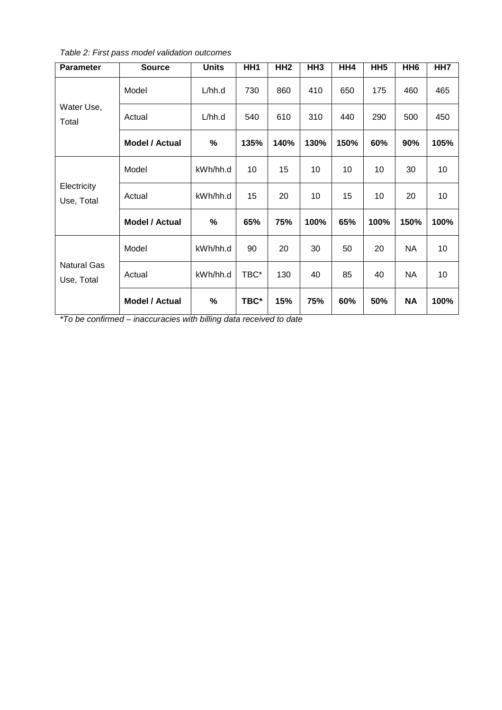Table 2: First pass model validation outcomes

| <b>Parameter</b>                 | <b>Source</b>  | <b>Units</b> | HH <sub>1</sub> | HH <sub>2</sub> | HH <sub>3</sub> | HH4  | HH <sub>5</sub> | HH <sub>6</sub> | HH7  |
|----------------------------------|----------------|--------------|-----------------|-----------------|-----------------|------|-----------------|-----------------|------|
|                                  | Model          | L/hh.d       | 730             | 860             | 410             | 650  | 175             | 460             | 465  |
| Water Use,<br>Total              | Actual         | L/hh.d       | 540             | 610             | 310             | 440  | 290             | 500             | 450  |
|                                  | Model / Actual | %            | 135%            | 140%            | 130%            | 150% | 60%             | 90%             | 105% |
|                                  | Model          | kWh/hh.d     | 10              | 15              | 10              | 10   | 10              | 30              | 10   |
| Electricity<br>Use, Total        | Actual         | kWh/hh.d     | 15              | 20              | 10              | 15   | 10              | 20              | 10   |
|                                  | Model / Actual | %            | 65%             | 75%             | 100%            | 65%  | 100%            | 150%            | 100% |
|                                  | Model          | kWh/hh.d     | 90              | 20              | 30              | 50   | 20              | <b>NA</b>       | 10   |
| <b>Natural Gas</b><br>Use, Total | Actual         | kWh/hh.d     | TBC*            | 130             | 40              | 85   | 40              | <b>NA</b>       | 10   |
|                                  | Model / Actual | %            | TBC*            | 15%             | 75%             | 60%  | 50%             | <b>NA</b>       | 100% |

\*To be confirmed – inaccuracies with billing data received to date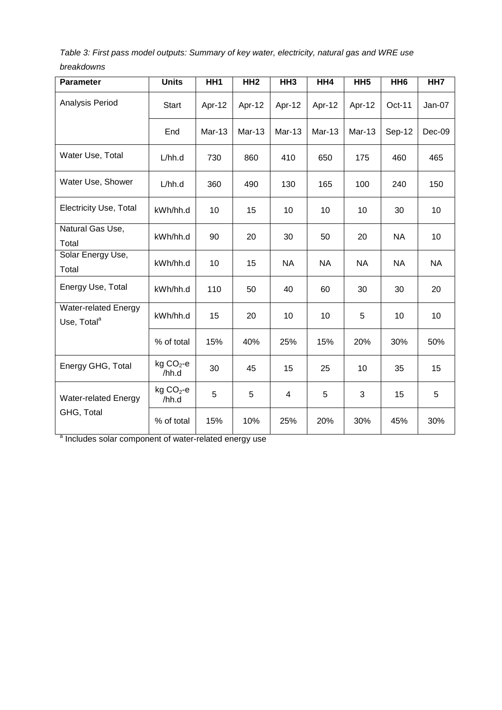Table 3: First pass model outputs: Summary of key water, electricity, natural gas and WRE use breakdowns

| <b>Parameter</b>                                | <b>Units</b>          | HH1           | HH <sub>2</sub> | HH <sub>3</sub> | HH4           | HH <sub>5</sub> | HH <sub>6</sub> | HH <sub>7</sub> |
|-------------------------------------------------|-----------------------|---------------|-----------------|-----------------|---------------|-----------------|-----------------|-----------------|
| Analysis Period                                 | Start                 | Apr-12        | Apr-12          | Apr-12          | Apr-12        | Apr-12          | Oct-11          | Jan-07          |
|                                                 | End                   | <b>Mar-13</b> | <b>Mar-13</b>   | <b>Mar-13</b>   | <b>Mar-13</b> | <b>Mar-13</b>   | Sep-12          | Dec-09          |
| Water Use, Total                                | L/hh.d                | 730           | 860             | 410             | 650           | 175             | 460             | 465             |
| Water Use, Shower                               | L/hh.d                | 360           | 490             | 130             | 165           | 100             | 240             | 150             |
| <b>Electricity Use, Total</b>                   | kWh/hh.d              | 10            | 15              | 10              | 10            | 10              | 30              | 10              |
| Natural Gas Use,<br>Total                       | kWh/hh.d              | 90            | 20              | 30              | 50            | 20              | <b>NA</b>       | 10              |
| Solar Energy Use,<br>Total                      | kWh/hh.d              | 10            | 15              | <b>NA</b>       | <b>NA</b>     | <b>NA</b>       | <b>NA</b>       | <b>NA</b>       |
| Energy Use, Total                               | kWh/hh.d              | 110           | 50              | 40              | 60            | 30              | 30              | 20              |
| Water-related Energy<br>Use, Total <sup>a</sup> | kWh/hh.d              | 15            | 20              | 10              | 10            | 5               | 10              | 10              |
|                                                 | % of total            | 15%           | 40%             | 25%             | 15%           | 20%             | 30%             | 50%             |
| Energy GHG, Total                               | $kg CO2 - e$<br>/hh.d | 30            | 45              | 15              | 25            | 10              | 35              | 15              |
| <b>Water-related Energy</b>                     | $kg CO2 - e$<br>/hh.d | 5             | 5               | 4               | 5             | 3               | 15              | 5               |
| GHG, Total                                      | % of total            | 15%           | 10%             | 25%             | 20%           | 30%             | 45%             | 30%             |

a Includes solar component of water-related energy use